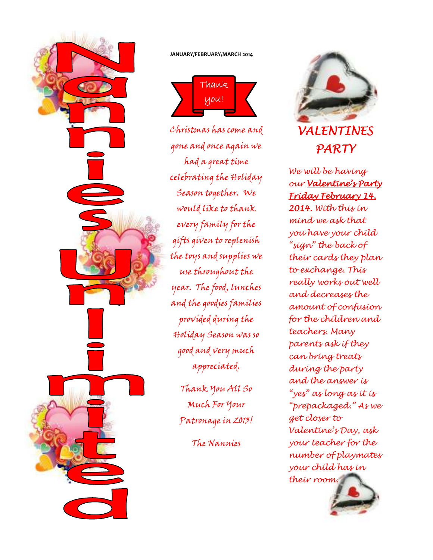

### **JANUARY/FEBRUARY/MARCH 2014**



Christmas has come and gone and once again we had a great time celebrating the Holiday Season together. We would like to thank every family for the gifts given to replenish the toys and supplies we use throughout the year. The food, lunches and the goodies families provided during the Holiday Season was so good and very much appreciated.

Thank You All So Much For Your Patronage in 2013!

The Nannies



We will be having our Valentine's Party Friday February 14, 14, 2014. With this in mind we ask that you have your child "sign" the back of their cards they plan to exchange. This really works out well and decreases the amount of confusion for the children and teachers. Many parents ask if they can bring treats during the party and the answer is "yes" as long as it is "prepackaged." As we get closer to Valentine's Day, ask your teacher for the number of playmates your child has in their room.

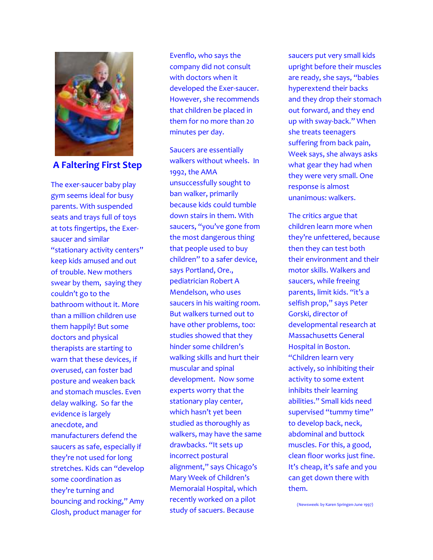

### **A Faltering First Step**

The exer-saucer baby play gym seems ideal for busy parents. With suspended seats and trays full of toys at tots fingertips, the Exersaucer and similar "stationary activity centers" keep kids amused and out of trouble. New mothers swear by them, saying they couldn't go to the bathroom without it. More than a million children use them happily! But some doctors and physical therapists are starting to warn that these devices, if overused, can foster bad posture and weaken back and stomach muscles. Even delay walking. So far the evidence is largely anecdote, and manufacturers defend the saucers as safe, especially if they're not used for long stretches. Kids can "develop some coordination as they're turning and bouncing and rocking," Amy Glosh, product manager for

Evenflo, who says the company did not consult with doctors when it developed the Exer-saucer. However, she recommends that children be placed in them for no more than 20 minutes per day.

Saucers are essentially walkers without wheels. In 1992, the AMA unsuccessfully sought to ban walker, primarily because kids could tumble down stairs in them. With saucers, "you've gone from the most dangerous thing that people used to buy children" to a safer device, says Portland, Ore., pediatrician Robert A Mendelson, who uses saucers in his waiting room. But walkers turned out to have other problems, too: studies showed that they hinder some children's walking skills and hurt their muscular and spinal development. Now some experts worry that the stationary play center, which hasn't yet been studied as thoroughly as walkers, may have the same drawbacks. "It sets up incorrect postural alignment," says Chicago's Mary Week of Children's Memoraial Hospital, which recently worked on a pilot study of sacuers. Because

saucers put very small kids upright before their muscles are ready, she says, "babies hyperextend their backs and they drop their stomach out forward, and they end up with sway-back." When she treats teenagers suffering from back pain, Week says, she always asks what gear they had when they were very small. One response is almost unanimous: walkers.

The critics argue that children learn more when they're unfettered, because then they can test both their environment and their motor skills. Walkers and saucers, while freeing parents, limit kids. "it's a selfish prop," says Peter Gorski, director of developmental research at Massachusetts General Hospital in Boston. "Children learn very actively, so inhibiting their activity to some extent inhibits their learning abilities." Small kids need supervised "tummy time" to develop back, neck, abdominal and buttock muscles. For this, a good, clean floor works just fine. It's cheap, it's safe and you can get down there with them.

(Newsweek: by Karen Springen-June 1997)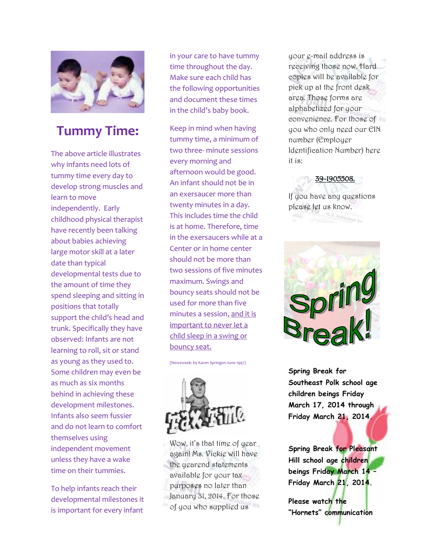

# **Tummy Time:**

The above article illustrates why infants need lots of tummy time every day to develop strong muscles and learn to move independently. Early childhood physical therapist have recently been talking about babies achieving large motor skill at a later date than typical developmental tests due to the amount of time they spend sleeping and sitting in positions that totally support the child's head and trunk. Specifically they have observed: Infants are not learning to roll, sit or stand as young as they used to. Some children may even be as much as six months behind in achieving these development milestones. Infants also seem fussier and do not learn to comfort themselves using independent movement unless they have a wake time on their tummies.

To help infants reach their developmental milestones it is important for every infant

in your care to have tummy time throughout the day. Make sure each child has the following opportunities and document these times in the child's baby book.

Keep in mind when having tummy time, a minimum of two three- minute sessions every morning and afternoon would be good. An infant should not be in an exersaucer more than twenty minutes in a day. This includes time the child is at home. Therefore, time in the exersaucers while at a Center or in home center should not be more than two sessions of five minutes maximum. Swings and bouncy seats should not be used for more than five minutes a session, and it is important to never let a child sleep in a swing or bouncy seat.

(Newsweek: by Karen Springen-June 1997)



Wow, it's that time of year again! Ms. Vickie will have the yearend statements available for your tax purposes no later than January 31, 2014. For those of you who supplied us

your e-mail address is receiving those now. Hard copies will be available for pick up at the front desk area. Those forms are alphabetized for your convenience. For those of you who only need our EIN number (Employer Identification Number) here it is:

39-1905508.

If you have any questions please let us know.



**Spring Break for Southeast Polk school age children beings Friday March 17, 2014 through Friday March 21, 2014.** 

**Spring Break for Pleasant Hill school age children beings Friday March 14 – Friday March 21, 2014.** 

**Please watch the "Hornets" communication**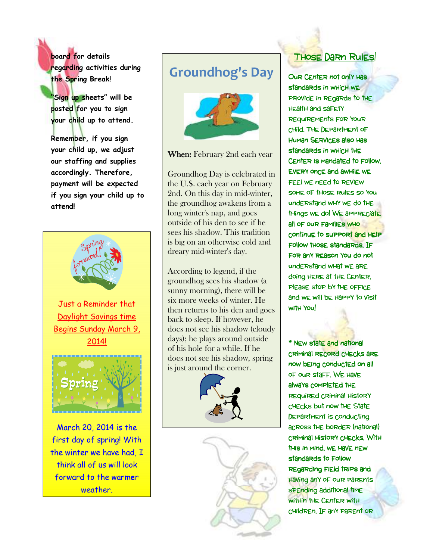**board for details regarding activities during the Spring Break!** 

**"Sign up sheets" will be posted for you to sign your child up to attend.** 

**Remember, if you sign your child up, we adjust our staffing and supplies accordingly. Therefore, payment will be expected if you sign your child up to attend!**



weather.

# **Groundhog's Day**



When: February 2nd each year

Groundhog Day is celebrated in the U.S. each year on February 2nd. On this day in mid-winter, the groundhog awakens from a long winter's nap, and goes outside of his den to see if he sees his shadow. This tradition is big on an otherwise cold and dreary mid-winter's day.

According to legend, if the groundhog sees his shadow (a sunny morning), there will be six more weeks of winter. He then returns to his den and goes back to sleep. If however, he does not see his shadow (cloudy days); he plays around outside of his hole for a while. If he does not see his shadow, spring is just around the corner.





# **THOSE DARN Rules!**

Our Center not only has standards in WHicH WE provide in regards to the health and safety requirements for your child. The Department of Human Services also has standards in WHICH THE Center is mandated to follow. Every once and awhile we FEEI WE nEEd to REVIEW some of those rules so you understand why we do the things we do! We appreciate all of our families who continue to support and help Follow those standards. IF for any reason you do not understand what we are doing here at the Center, PIEASE STOP bY THE OFFICE and we will be happy to visit with You!

\* New state and national criminal record checks are now being conducted on all of our staff. We have always completed the required criminal history checks but now the State Department is conducting across the border (national) criminal history checks. With criminal history checks. With this in mind, we have new standards to Follow regarding field trips and having any of our parents spending additional time within the Center with children. IF any parent or